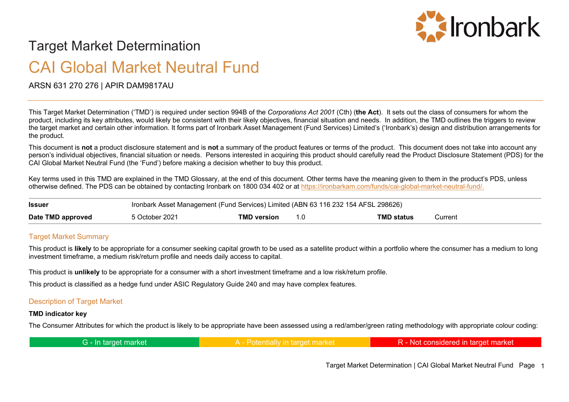

# Target Market Determination

# CAI Global Market Neutral Fund

ARSN 631 270 276 | APIR DAM9817AU

This Target Market Determination ('TMD') is required under section 994B of the *Corporations Act 2001* (Cth) (**the Act**). It sets out the class of consumers for whom the product, including its key attributes, would likely be consistent with their likely objectives, financial situation and needs. In addition, the TMD outlines the triggers to review the target market and certain other information. It forms part of Ironbark Asset Management (Fund Services) Limited's ('Ironbark's) design and distribution arrangements for the product.

This document is **not** a product disclosure statement and is **not** a summary of the product features or terms of the product. This document does not take into account any person's individual objectives, financial situation or needs. Persons interested in acquiring this product should carefully read the Product Disclosure Statement (PDS) for the CAI Global Market Neutral Fund (the 'Fund') before making a decision whether to buy this product.

Key terms used in this TMD are explained in the TMD Glossary, at the end of this document. Other terms have the meaning given to them in the product's PDS, unless otherwise defined. The PDS can be obtained by contacting Ironbark on 1800 034 402 or at [https://ironbarkam.com/funds/cai-global-market-neutral-fund/.](https://ironbarkam.com/funds/cai-global-market-neutral-fund/)

| <b>Issuer</b>     | Ironbark Asset Management (Fund Services) Limited (ABN 63 116 232 154 AFSL 298626) |             |                   |         |
|-------------------|------------------------------------------------------------------------------------|-------------|-------------------|---------|
| Date TMD approved | 5 October 2021                                                                     | TMD version | <b>TMD status</b> | ∵urrent |

### **Target Market Summary**

This product is **likely** to be appropriate for a consumer seeking capital growth to be used as a satellite product within a portfolio where the consumer has a medium to long investment timeframe, a medium risk/return profile and needs daily access to capital.

This product is **unlikely** to be appropriate for a consumer with a short investment timeframe and a low risk/return profile.

This product is classified as a hedge fund under ASIC Regulatory Guide 240 and may have complex features.

### Description of Target Market

#### **TMD indicator key**

The Consumer Attributes for which the product is likely to be appropriate have been assessed using a red/amber/green rating methodology with appropriate colour coding:

| G - In target market |  | R - Not considered in target market |
|----------------------|--|-------------------------------------|
|----------------------|--|-------------------------------------|

Target Market Determination | CAI Global Market Neutral Fund Page 1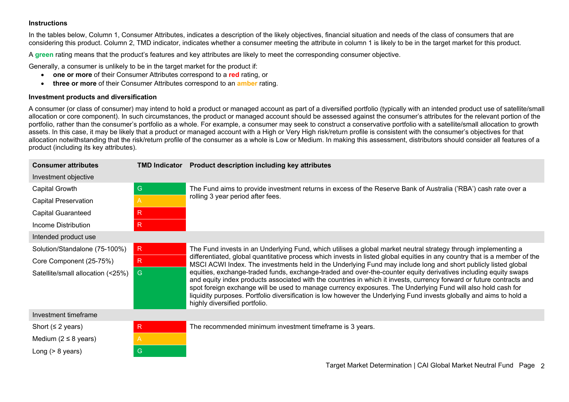#### **Instructions**

In the tables below, Column 1, Consumer Attributes, indicates a description of the likely objectives, financial situation and needs of the class of consumers that are considering this product. Column 2, TMD indicator, indicates whether a consumer meeting the attribute in column 1 is likely to be in the target market for this product.

A **green** rating means that the product's features and key attributes are likely to meet the corresponding consumer objective.

Generally, a consumer is unlikely to be in the target market for the product if:

- **one or more** of their Consumer Attributes correspond to a **red** rating, or
- **three or more** of their Consumer Attributes correspond to an **amber** rating.

#### **Investment products and diversification**

A consumer (or class of consumer) may intend to hold a product or managed account as part of a diversified portfolio (typically with an intended product use of satellite/small allocation or core component). In such circumstances, the product or managed account should be assessed against the consumer's attributes for the relevant portion of the portfolio, rather than the consumer's portfolio as a whole. For example, a consumer may seek to construct a conservative portfolio with a satellite/small allocation to growth assets. In this case, it may be likely that a product or managed account with a High or Very High risk/return profile is consistent with the consumer's objectives for that allocation notwithstanding that the risk/return profile of the consumer as a whole is Low or Medium. In making this assessment, distributors should consider all features of a product (including its key attributes).

| <b>Consumer attributes</b>        | <b>TMD Indicator</b> | Product description including key attributes                                                                                                                                                                                                                                                                                                                                                                                                                                                                      |  |
|-----------------------------------|----------------------|-------------------------------------------------------------------------------------------------------------------------------------------------------------------------------------------------------------------------------------------------------------------------------------------------------------------------------------------------------------------------------------------------------------------------------------------------------------------------------------------------------------------|--|
| Investment objective              |                      |                                                                                                                                                                                                                                                                                                                                                                                                                                                                                                                   |  |
| Capital Growth                    | G                    | The Fund aims to provide investment returns in excess of the Reserve Bank of Australia ('RBA') cash rate over a                                                                                                                                                                                                                                                                                                                                                                                                   |  |
| <b>Capital Preservation</b>       | A                    | rolling 3 year period after fees.                                                                                                                                                                                                                                                                                                                                                                                                                                                                                 |  |
| <b>Capital Guaranteed</b>         | $\mathsf{R}$         |                                                                                                                                                                                                                                                                                                                                                                                                                                                                                                                   |  |
| Income Distribution               | $\mathsf{R}$         |                                                                                                                                                                                                                                                                                                                                                                                                                                                                                                                   |  |
| Intended product use              |                      |                                                                                                                                                                                                                                                                                                                                                                                                                                                                                                                   |  |
| Solution/Standalone (75-100%)     | R.                   | The Fund invests in an Underlying Fund, which utilises a global market neutral strategy through implementing a                                                                                                                                                                                                                                                                                                                                                                                                    |  |
| Core Component (25-75%)           | R                    | differentiated, global quantitative process which invests in listed global equities in any country that is a member of the<br>MSCI ACWI Index. The investments held in the Underlying Fund may include long and short publicly listed global                                                                                                                                                                                                                                                                      |  |
| Satellite/small allocation (<25%) | G                    | equities, exchange-traded funds, exchange-traded and over-the-counter equity derivatives including equity swaps<br>and equity index products associated with the countries in which it invests, currency forward or future contracts and<br>spot foreign exchange will be used to manage currency exposures. The Underlying Fund will also hold cash for<br>liquidity purposes. Portfolio diversification is low however the Underlying Fund invests globally and aims to hold a<br>highly diversified portfolio. |  |
| Investment timeframe              |                      |                                                                                                                                                                                                                                                                                                                                                                                                                                                                                                                   |  |
| Short ( $\leq$ 2 years)           | R                    | The recommended minimum investment timeframe is 3 years.                                                                                                                                                                                                                                                                                                                                                                                                                                                          |  |
| Medium ( $2 \leq 8$ years)        | A                    |                                                                                                                                                                                                                                                                                                                                                                                                                                                                                                                   |  |
| Long $(> 8$ years)                | ${\mathsf G}$        |                                                                                                                                                                                                                                                                                                                                                                                                                                                                                                                   |  |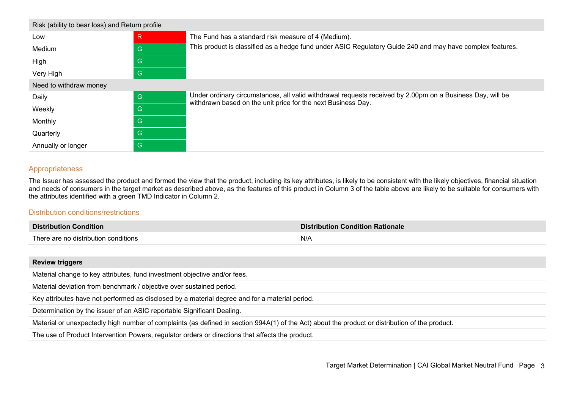| Risk (ability to bear loss) and Return profile |   |                                                                                                                                                                           |  |
|------------------------------------------------|---|---------------------------------------------------------------------------------------------------------------------------------------------------------------------------|--|
| Low                                            | R | The Fund has a standard risk measure of 4 (Medium).                                                                                                                       |  |
| Medium                                         | G | This product is classified as a hedge fund under ASIC Regulatory Guide 240 and may have complex features.                                                                 |  |
| High                                           | G |                                                                                                                                                                           |  |
| Very High                                      | G |                                                                                                                                                                           |  |
| Need to withdraw money                         |   |                                                                                                                                                                           |  |
| Daily                                          | G | Under ordinary circumstances, all valid withdrawal requests received by 2.00pm on a Business Day, will be<br>withdrawn based on the unit price for the next Business Day. |  |
| Weekly                                         | G |                                                                                                                                                                           |  |
| Monthly                                        | G |                                                                                                                                                                           |  |
| Quarterly                                      | G |                                                                                                                                                                           |  |
| Annually or longer                             | G |                                                                                                                                                                           |  |

## Appropriateness

The Issuer has assessed the product and formed the view that the product, including its key attributes, is likely to be consistent with the likely objectives, financial situation and needs of consumers in the target market as described above, as the features of this product in Column 3 of the table above are likely to be suitable for consumers with the attributes identified with a green TMD Indicator in Column 2.

#### Distribution conditions/restrictions

| <b>Distribution Condition</b>        | <b>Distribution Condition Rationale</b> |
|--------------------------------------|-----------------------------------------|
| There are no distribution conditions | N/A                                     |
|                                      |                                         |

#### **Review triggers**

Material change to key attributes, fund investment objective and/or fees.

Material deviation from benchmark / objective over sustained period.

Key attributes have not performed as disclosed by a material degree and for a material period.

Determination by the issuer of an ASIC reportable Significant Dealing.

Material or unexpectedly high number of complaints (as defined in section 994A(1) of the Act) about the product or distribution of the product.

The use of Product Intervention Powers, regulator orders or directions that affects the product.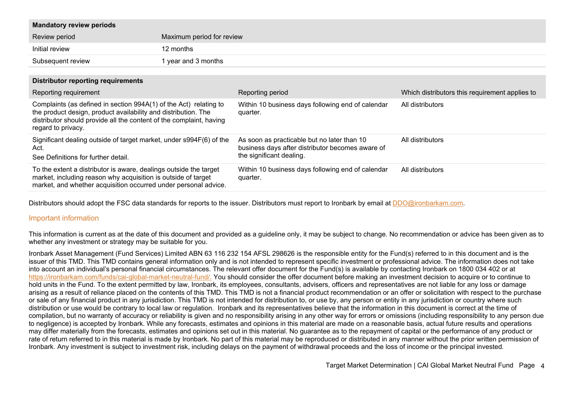| <b>Mandatory review periods</b> |                           |
|---------------------------------|---------------------------|
| Review period                   | Maximum period for review |
| Initial review                  | 12 months                 |
| Subsequent review               | 1 year and 3 months       |

|  |  | <b>Distributor reporting requirements</b> |
|--|--|-------------------------------------------|
|--|--|-------------------------------------------|

| Reporting requirement                                                                                                                                                                                                            | Reporting period                                                                                | Which distributors this requirement applies to |
|----------------------------------------------------------------------------------------------------------------------------------------------------------------------------------------------------------------------------------|-------------------------------------------------------------------------------------------------|------------------------------------------------|
| Complaints (as defined in section 994A(1) of the Act) relating to<br>the product design, product availability and distribution. The<br>distributor should provide all the content of the complaint, having<br>regard to privacy. | Within 10 business days following end of calendar<br>quarter.                                   | All distributors                               |
| Significant dealing outside of target market, under s994F(6) of the<br>Act.                                                                                                                                                      | As soon as practicable but no later than 10<br>business days after distributor becomes aware of | All distributors                               |
| See Definitions for further detail.                                                                                                                                                                                              | the significant dealing.                                                                        |                                                |
| To the extent a distributor is aware, dealings outside the target<br>market, including reason why acquisition is outside of target<br>market, and whether acquisition occurred under personal advice.                            | Within 10 business days following end of calendar<br>quarter.                                   | All distributors                               |

Distributors should adopt the FSC data standards for reports to the issuer. Distributors must report to Ironbark by email at [DDO@ironbarkam.com.](mailto:DDO@ironbarkam.com)

#### Important information

This information is current as at the date of this document and provided as a guideline only, it may be subject to change. No recommendation or advice has been given as to whether any investment or strategy may be suitable for you.

Ironbark Asset Management (Fund Services) Limited ABN 63 116 232 154 AFSL 298626 is the responsible entity for the Fund(s) referred to in this document and is the issuer of this TMD. This TMD contains general information only and is not intended to represent specific investment or professional advice. The information does not take into account an individual's personal financial circumstances. The relevant offer document for the Fund(s) is available by contacting Ironbark on 1800 034 402 or at [https://ironbarkam.com/funds/cai-global-market-neutral-fund/.](https://ironbarkam.com/funds/cai-global-market-neutral-fund/) You should consider the offer document before making an investment decision to acquire or to continue to hold units in the Fund. To the extent permitted by law, Ironbark, its employees, consultants, advisers, officers and representatives are not liable for any loss or damage arising as a result of reliance placed on the contents of this TMD. This TMD is not a financial product recommendation or an offer or solicitation with respect to the purchase or sale of any financial product in any jurisdiction. This TMD is not intended for distribution to, or use by, any person or entity in any jurisdiction or country where such distribution or use would be contrary to local law or regulation. Ironbark and its representatives believe that the information in this document is correct at the time of compilation, but no warranty of accuracy or reliability is given and no responsibility arising in any other way for errors or omissions (including responsibility to any person due to negligence) is accepted by Ironbark. While any forecasts, estimates and opinions in this material are made on a reasonable basis, actual future results and operations may differ materially from the forecasts, estimates and opinions set out in this material. No guarantee as to the repayment of capital or the performance of any product or rate of return referred to in this material is made by Ironbark. No part of this material may be reproduced or distributed in any manner without the prior written permission of Ironbark. Any investment is subject to investment risk, including delays on the payment of withdrawal proceeds and the loss of income or the principal invested.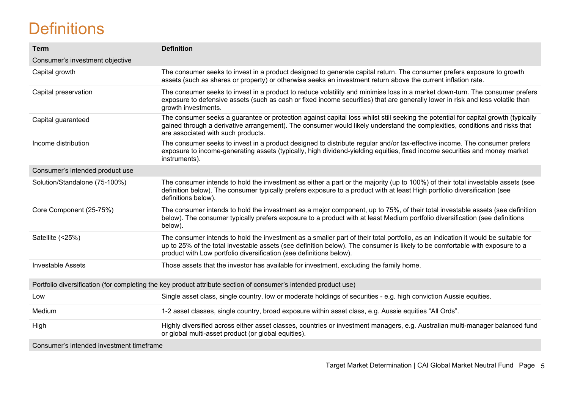# **Definitions**

| <b>Term</b>                              | <b>Definition</b>                                                                                                                                                                                                                                                                                                                        |
|------------------------------------------|------------------------------------------------------------------------------------------------------------------------------------------------------------------------------------------------------------------------------------------------------------------------------------------------------------------------------------------|
| Consumer's investment objective          |                                                                                                                                                                                                                                                                                                                                          |
| Capital growth                           | The consumer seeks to invest in a product designed to generate capital return. The consumer prefers exposure to growth<br>assets (such as shares or property) or otherwise seeks an investment return above the current inflation rate.                                                                                                  |
| Capital preservation                     | The consumer seeks to invest in a product to reduce volatility and minimise loss in a market down-turn. The consumer prefers<br>exposure to defensive assets (such as cash or fixed income securities) that are generally lower in risk and less volatile than<br>growth investments.                                                    |
| Capital guaranteed                       | The consumer seeks a guarantee or protection against capital loss whilst still seeking the potential for capital growth (typically<br>gained through a derivative arrangement). The consumer would likely understand the complexities, conditions and risks that<br>are associated with such products.                                   |
| Income distribution                      | The consumer seeks to invest in a product designed to distribute regular and/or tax-effective income. The consumer prefers<br>exposure to income-generating assets (typically, high dividend-yielding equities, fixed income securities and money market<br>instruments).                                                                |
| Consumer's intended product use          |                                                                                                                                                                                                                                                                                                                                          |
| Solution/Standalone (75-100%)            | The consumer intends to hold the investment as either a part or the majority (up to 100%) of their total investable assets (see<br>definition below). The consumer typically prefers exposure to a product with at least High portfolio diversification (see<br>definitions below).                                                      |
| Core Component (25-75%)                  | The consumer intends to hold the investment as a major component, up to 75%, of their total investable assets (see definition<br>below). The consumer typically prefers exposure to a product with at least Medium portfolio diversification (see definitions<br>below).                                                                 |
| Satellite (<25%)                         | The consumer intends to hold the investment as a smaller part of their total portfolio, as an indication it would be suitable for<br>up to 25% of the total investable assets (see definition below). The consumer is likely to be comfortable with exposure to a<br>product with Low portfolio diversification (see definitions below). |
| <b>Investable Assets</b>                 | Those assets that the investor has available for investment, excluding the family home.                                                                                                                                                                                                                                                  |
|                                          | Portfolio diversification (for completing the key product attribute section of consumer's intended product use)                                                                                                                                                                                                                          |
| Low                                      | Single asset class, single country, low or moderate holdings of securities - e.g. high conviction Aussie equities.                                                                                                                                                                                                                       |
| Medium                                   | 1-2 asset classes, single country, broad exposure within asset class, e.g. Aussie equities "All Ords".                                                                                                                                                                                                                                   |
| High                                     | Highly diversified across either asset classes, countries or investment managers, e.g. Australian multi-manager balanced fund<br>or global multi-asset product (or global equities).                                                                                                                                                     |
| Consumer's intended investment timeframe |                                                                                                                                                                                                                                                                                                                                          |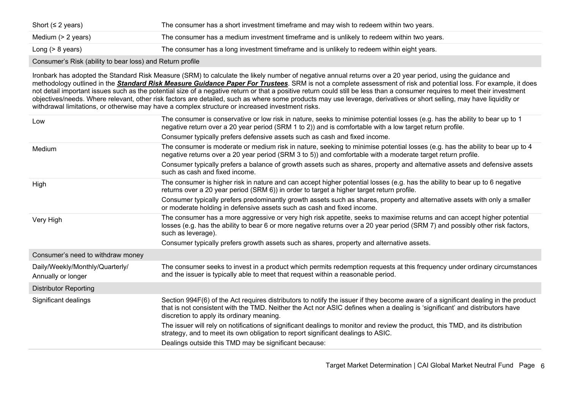| Short ( $\leq$ 2 years) | The consumer has a short investment timeframe and may wish to redeem within two years.     |
|-------------------------|--------------------------------------------------------------------------------------------|
| Medium (> 2 years)      | The consumer has a medium investment timeframe and is unlikely to redeem within two years. |
| Long (> 8 years)        | The consumer has a long investment timeframe and is unlikely to redeem within eight years. |

Consumer's Risk (ability to bear loss) and Return profile

Ironbark has adopted the Standard Risk Measure (SRM) to calculate the likely number of negative annual returns over a 20 year period, using the guidance and methodology outlined in the *[Standard Risk Measure Guidance Paper For Trustees](https://protect-eu.mimecast.com/s/pqPaCwVNmtGRQpvMFVpVgu?domain=urldefense.com)*. SRM is not a complete assessment of risk and potential loss. For example, it does not detail important issues such as the potential size of a negative return or that a positive return could still be less than a consumer requires to meet their investment objectives/needs. Where relevant, other risk factors are detailed, such as where some products may use leverage, derivatives or short selling, may have liquidity or withdrawal limitations, or otherwise may have a complex structure or increased investment risks.

| Low                                                   | The consumer is conservative or low risk in nature, seeks to minimise potential losses (e.g. has the ability to bear up to 1<br>negative return over a 20 year period (SRM 1 to 2)) and is comfortable with a low target return profile.                                                                       |
|-------------------------------------------------------|----------------------------------------------------------------------------------------------------------------------------------------------------------------------------------------------------------------------------------------------------------------------------------------------------------------|
|                                                       | Consumer typically prefers defensive assets such as cash and fixed income.                                                                                                                                                                                                                                     |
| Medium                                                | The consumer is moderate or medium risk in nature, seeking to minimise potential losses (e.g. has the ability to bear up to 4<br>negative returns over a 20 year period (SRM 3 to 5)) and comfortable with a moderate target return profile.                                                                   |
|                                                       | Consumer typically prefers a balance of growth assets such as shares, property and alternative assets and defensive assets<br>such as cash and fixed income.                                                                                                                                                   |
| High                                                  | The consumer is higher risk in nature and can accept higher potential losses (e.g. has the ability to bear up to 6 negative<br>returns over a 20 year period (SRM 6)) in order to target a higher target return profile.                                                                                       |
|                                                       | Consumer typically prefers predominantly growth assets such as shares, property and alternative assets with only a smaller<br>or moderate holding in defensive assets such as cash and fixed income.                                                                                                           |
| Very High                                             | The consumer has a more aggressive or very high risk appetite, seeks to maximise returns and can accept higher potential<br>losses (e.g. has the ability to bear 6 or more negative returns over a 20 year period (SRM 7) and possibly other risk factors,<br>such as leverage).                               |
|                                                       | Consumer typically prefers growth assets such as shares, property and alternative assets.                                                                                                                                                                                                                      |
| Consumer's need to withdraw money                     |                                                                                                                                                                                                                                                                                                                |
| Daily/Weekly/Monthly/Quarterly/<br>Annually or longer | The consumer seeks to invest in a product which permits redemption requests at this frequency under ordinary circumstances<br>and the issuer is typically able to meet that request within a reasonable period.                                                                                                |
| <b>Distributor Reporting</b>                          |                                                                                                                                                                                                                                                                                                                |
| Significant dealings                                  | Section 994F(6) of the Act requires distributors to notify the issuer if they become aware of a significant dealing in the product<br>that is not consistent with the TMD. Neither the Act nor ASIC defines when a dealing is 'significant' and distributors have<br>discretion to apply its ordinary meaning. |
|                                                       | The issuer will rely on notifications of significant dealings to monitor and review the product, this TMD, and its distribution<br>strategy, and to meet its own obligation to report significant dealings to ASIC.                                                                                            |
|                                                       | Dealings outside this TMD may be significant because:                                                                                                                                                                                                                                                          |